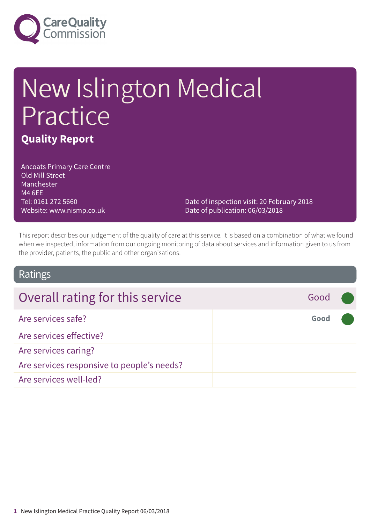

## New Islington Medical Practice **Quality Report**

Ancoats Primary Care Centre Old Mill Street Manchester M4 6EE Tel: 0161 272 5660 Website: www.nismp.co.uk

Date of inspection visit: 20 February 2018 Date of publication: 06/03/2018

This report describes our judgement of the quality of care at this service. It is based on a combination of what we found when we inspected, information from our ongoing monitoring of data about services and information given to us from the provider, patients, the public and other organisations.

#### Ratings

| Overall rating for this service            | Good |  |
|--------------------------------------------|------|--|
| Are services safe?                         | Good |  |
| Are services effective?                    |      |  |
| Are services caring?                       |      |  |
| Are services responsive to people's needs? |      |  |
| Are services well-led?                     |      |  |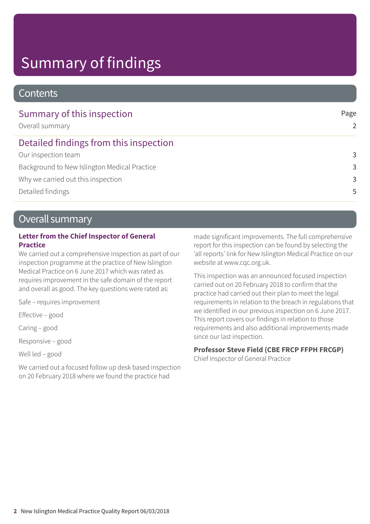### Summary of findings

#### **Contents**

| Summary of this inspection<br>Overall summary | Page<br>2     |
|-----------------------------------------------|---------------|
| Detailed findings from this inspection        |               |
| Our inspection team                           | 3             |
| Background to New Islington Medical Practice  | 3             |
| Why we carried out this inspection            | $\mathcal{R}$ |
| Detailed findings                             | .5            |

#### Overall summary

#### **Letter from the Chief Inspector of General Practice**

We carried out a comprehensive inspection as part of our inspection programme at the practice of New Islington Medical Practice on 6 June 2017 which was rated as requires improvement in the safe domain of the report and overall as good. The key questions were rated as:

Safe – requires improvement

Effective – good

Caring – good

Responsive – good

Well led – good

We carried out a focused follow up desk based inspection on 20 February 2018 where we found the practice had

made significant improvements. The full comprehensive report for this inspection can be found by selecting the 'all reports' link for New Islington Medical Practice on our website at www.cqc.org.uk.

This inspection was an announced focused inspection carried out on 20 February 2018 to confirm that the practice had carried out their plan to meet the legal requirements in relation to the breach in regulations that we identified in our previous inspection on 6 June 2017. This report covers our findings in relation to those requirements and also additional improvements made since our last inspection.

#### **Professor Steve Field (CBE FRCP FFPH FRCGP)**

Chief Inspector of General Practice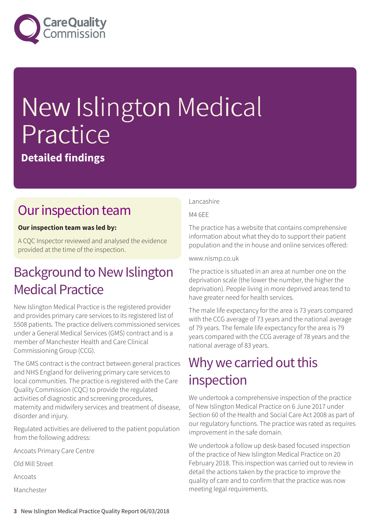

# New Islington Medical Practice

#### **Detailed findings**

#### Our inspection team

#### **Our inspection team was led by:**

A CQC Inspector reviewed and analysed the evidence provided at the time of the inspection.

#### **Background to New Islington Medical Practice**

New Islington Medical Practice is the registered provider and provides primary care services to its registered list of 5508 patients. The practice delivers commissioned services under a General Medical Services (GMS) contract and is a member of Manchester Health and Care Clinical Commissioning Group (CCG).

The GMS contract is the contract between general practices and NHS England for delivering primary care services to local communities. The practice is registered with the Care Quality Commission (CQC) to provide the regulated activities of diagnostic and screening procedures, maternity and midwifery services and treatment of disease, disorder and injury.

Regulated activities are delivered to the patient population from the following address:

Ancoats Primary Care Centre

Old Mill Street

Ancoats

Manchester

#### Lancashire

M4 6EE

The practice has a website that contains comprehensive information about what they do to support their patient population and the in house and online services offered:

www.nismp.co.uk

The practice is situated in an area at number one on the deprivation scale (the lower the number, the higher the deprivation). People living in more deprived areas tend to have greater need for health services.

The male life expectancy for the area is 73 years compared with the CCG average of 73 years and the national average of 79 years. The female life expectancy for the area is 79 years compared with the CCG average of 78 years and the national average of 83 years.

#### Why we carried out this inspection

We undertook a comprehensive inspection of the practice of New Islington Medical Practice on 6 June 2017 under Section 60 of the Health and Social Care Act 2008 as part of our regulatory functions. The practice was rated as requires improvement in the safe domain.

We undertook a follow up desk-based focused inspection of the practice of New Islington Medical Practice on 20 February 2018. This inspection was carried out to review in detail the actions taken by the practice to improve the quality of care and to confirm that the practice was now meeting legal requirements.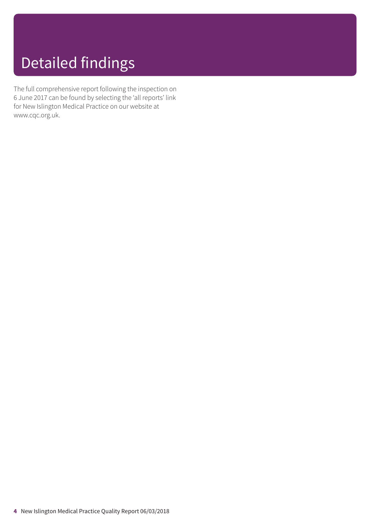### Detailed findings

The full comprehensive report following the inspection on 6 June 2017 can be found by selecting the 'all reports' link for New Islington Medical Practice on our website at www.cqc.org.uk.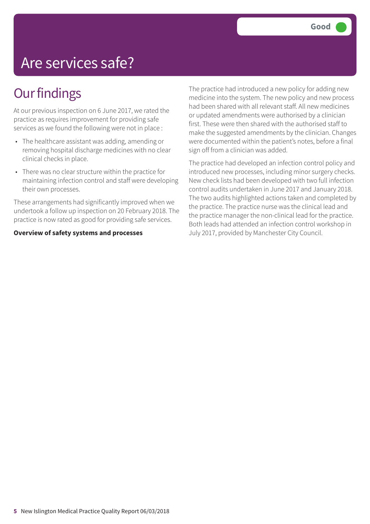### Are services safe?

### **Our findings**

At our previous inspection on 6 June 2017, we rated the practice as requires improvement for providing safe services as we found the following were not in place :

- The healthcare assistant was adding, amending or removing hospital discharge medicines with no clear clinical checks in place.
- There was no clear structure within the practice for maintaining infection control and staff were developing their own processes.

These arrangements had significantly improved when we undertook a follow up inspection on 20 February 2018. The practice is now rated as good for providing safe services.

#### **Overview of safety systems and processes**

The practice had introduced a new policy for adding new medicine into the system. The new policy and new process had been shared with all relevant staff. All new medicines or updated amendments were authorised by a clinician first. These were then shared with the authorised staff to make the suggested amendments by the clinician. Changes were documented within the patient's notes, before a final sign off from a clinician was added.

The practice had developed an infection control policy and introduced new processes, including minor surgery checks. New check lists had been developed with two full infection control audits undertaken in June 2017 and January 2018. The two audits highlighted actions taken and completed by the practice. The practice nurse was the clinical lead and the practice manager the non-clinical lead for the practice. Both leads had attended an infection control workshop in July 2017, provided by Manchester City Council.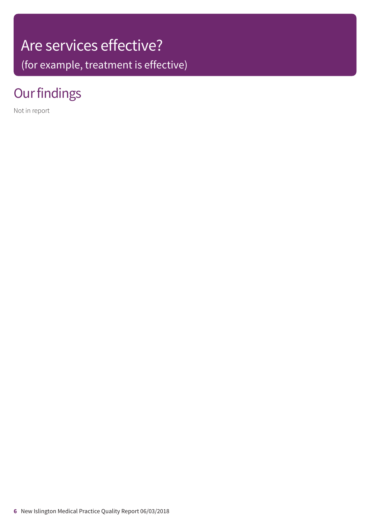## Are services effective?

(for example, treatment is effective)

### **Our findings**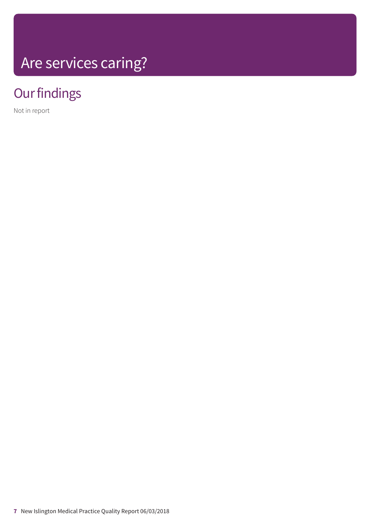## Are services caring?

### **Our findings**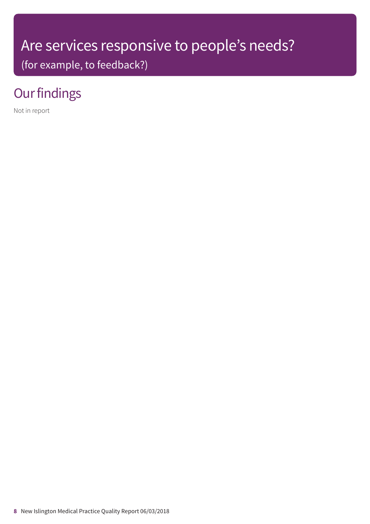### Are services responsive to people's needs?

(for example, to feedback?)

### **Our findings**